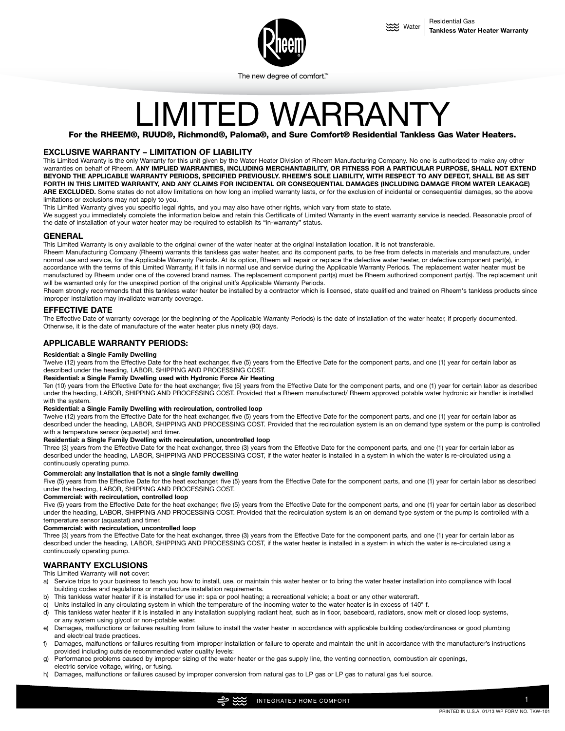

The new degree of comfort."

# LIMITED WARRANT

For the RHEEM®, RUUD®, Richmond®, Paloma®, and Sure Comfort® Residential Tankless Gas Water Heaters.

## **EXCLUSIVE WARRANTY – LIMITATION OF LIABILITY**

This Limited Warranty is the only Warranty for this unit given by the Water Heater Division of Rheem Manufacturing Company. No one is authorized to make any other warranties on behalf of Rheem. **ANY IMPLIED WARRANTIES, INCLUDING MERCHANTABILITY, OR FITNESS FOR A PARTICULAR PURPOSE, SHALL NOT EXTEND BEYOND THE APPLICABLE WARRANTY PERIODS, SPECIFIED PREVIOUSLY. RHEEM'S SOLE LIABILITY, WITH RESPECT TO ANY DEFECT, SHALL BE AS SET FORTH IN THIS LIMITED WARRANTY, AND ANY CLAIMS FOR INCIDENTAL OR CONSEQUENTIAL DAMAGES (INCLUDING DAMAGE FROM WATER LEAKAGE)**  ARE EXCLUDED. Some states do not allow limitations on how long an implied warranty lasts, or for the exclusion of incidental or consequential damages, so the above limitations or exclusions may not apply to you.

This Limited Warranty gives you specific legal rights, and you may also have other rights, which vary from state to state.

We suggest you immediately complete the information below and retain this Certificate of Limited Warranty in the event warranty service is needed. Reasonable proof of the date of installation of your water heater may be required to establish its "in-warranty" status.

# **GENERAL**

This Limited Warranty is only available to the original owner of the water heater at the original installation location. It is not transferable.

Rheem Manufacturing Company (Rheem) warrants this tankless gas water heater, and its component parts, to be free from defects in materials and manufacture, under normal use and service, for the Applicable Warranty Periods. At its option, Rheem will repair or replace the defective water heater, or defective component part(s), in accordance with the terms of this Limited Warranty, if it fails in normal use and service during the Applicable Warranty Periods. The replacement water heater must be manufactured by Rheem under one of the covered brand names. The replacement component part(s) must be Rheem authorized component part(s). The replacement unit will be warranted only for the unexpired portion of the original unit's Applicable Warranty Periods.

Rheem strongly recommends that this tankless water heater be installed by a contractor which is licensed, state qualified and trained on Rheem's tankless products since improper installation may invalidate warranty coverage.

# **EFFECTIVE DATE**

The Effective Date of warranty coverage (or the beginning of the Applicable Warranty Periods) is the date of installation of the water heater, if properly documented. Otherwise, it is the date of manufacture of the water heater plus ninety (90) days.

# **APPLICABLE WARRANTY PERIODS:**

#### **Residential: a Single Family Dwelling**

Twelve (12) years from the Effective Date for the heat exchanger, five (5) years from the Effective Date for the component parts, and one (1) year for certain labor as described under the heading, LABOR, SHIPPING AND PROCESSING COST.

#### **Residential: a Single Family Dwelling used with Hydronic Force Air Heating**

Ten (10) years from the Effective Date for the heat exchanger, five (5) years from the Effective Date for the component parts, and one (1) year for certain labor as described under the heading, LABOR, SHIPPING AND PROCESSING COST. Provided that a Rheem manufactured/ Rheem approved potable water hydronic air handler is installed with the system.

#### **Residential: a Single Family Dwelling with recirculation, controlled loop**

Twelve (12) years from the Effective Date for the heat exchanger, five (5) years from the Effective Date for the component parts, and one (1) year for certain labor as described under the heading, LABOR, SHIPPING AND PROCESSING COST. Provided that the recirculation system is an on demand type system or the pump is controlled with a temperature sensor (aquastat) and timer.

#### **Residential: a Single Family Dwelling with recirculation, uncontrolled loop**

Three (3) years from the Effective Date for the heat exchanger, three (3) years from the Effective Date for the component parts, and one (1) year for certain labor as described under the heading, LABOR, SHIPPING AND PROCESSING COST, if the water heater is installed in a system in which the water is re-circulated using a continuously operating pump.

#### **Commercial: any installation that is not a single family dwelling**

Five (5) years from the Effective Date for the heat exchanger, five (5) years from the Effective Date for the component parts, and one (1) year for certain labor as described under the heading, LABOR, SHIPPING AND PROCESSING COST.

**Commercial: with recirculation, controlled loop**

Five (5) years from the Effective Date for the heat exchanger, five (5) years from the Effective Date for the component parts, and one (1) year for certain labor as described under the heading, LABOR, SHIPPING AND PROCESSING COST. Provided that the recirculation system is an on demand type system or the pump is controlled with a temperature sensor (aquastat) and timer.

## **Commercial: with recirculation, uncontrolled loop**

Three (3) years from the Effective Date for the heat exchanger, three (3) years from the Effective Date for the component parts, and one (1) year for certain labor as described under the heading, LABOR, SHIPPING AND PROCESSING COST, if the water heater is installed in a system in which the water is re-circulated using a continuously operating pump.

## **WARRANTY EXCLUSIONS**

#### This Limited Warranty will **not** cover:

- a) Service trips to your business to teach you how to install, use, or maintain this water heater or to bring the water heater installation into compliance with local building codes and regulations or manufacture installation requirements.
- b) This tankless water heater if it is installed for use in: spa or pool heating; a recreational vehicle; a boat or any other watercraft.
- c) Units installed in any circulating system in which the temperature of the incoming water to the water heater is in excess of 140° f.
- d) This tankless water heater if it is installed in any installation supplying radiant heat, such as in floor, baseboard, radiators, snow melt or closed loop systems, or any system using glycol or non-potable water.
- e) Damages, malfunctions or failures resulting from failure to install the water heater in accordance with applicable building codes/ordinances or good plumbing and electrical trade practices.
- f) Damages, malfunctions or failures resulting from improper installation or failure to operate and maintain the unit in accordance with the manufacturer's instructions provided including outside recommended water quality levels:
- g) Performance problems caused by improper sizing of the water heater or the gas supply line, the venting connection, combustion air openings, electric service voltage, wiring, or fusing.
- h) Damages, malfunctions or failures caused by improper conversion from natural gas to LP gas or LP gas to natural gas fuel source.